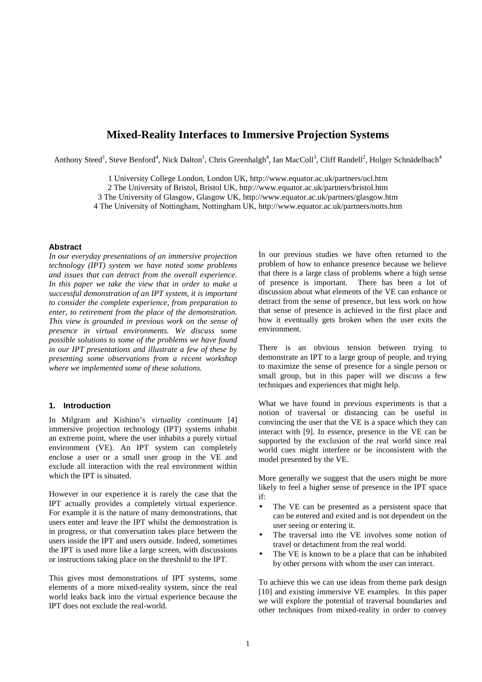# **Mixed-Reality Interfaces to Immersive Projection Systems**

Anthony Steed<sup>1</sup>, Steve Benford<sup>4</sup>, Nick Dalton<sup>1</sup>, Chris Greenhalgh<sup>4</sup>, Ian MacColl<sup>3</sup>, Cliff Randell<sup>2</sup>, Holger Schnädelbach<sup>4</sup>

 University College London, London UK, http://www.equator.ac.uk/partners/ucl.htm The University of Bristol, Bristol UK, http://www.equator.ac.uk/partners/bristol.htm The University of Glasgow, Glasgow UK, http://www.equator.ac.uk/partners/glasgow.htm The University of Nottingham, Nottingham UK, http://www.equator.ac.uk/partners/notts.htm

#### **Abstract**

*In our everyday presentations of an immersive projection technology (IPT) system we have noted some problems and issues that can detract from the overall experience. In this paper we take the view that in order to make a successful demonstration of an IPT system, it is important to consider the complete experience, from preparation to enter, to retirement from the place of the demonstration. This view is grounded in previous work on the sense of presence in virtual environments. We discuss some possible solutions to some of the problems we have found in our IPT presentations and illustrate a few of these by presenting some observations from a recent workshop where we implemented some of these solutions.*

# **1. Introduction**

In Milgram and Kishino's *virtuality continuum* [4] immersive projection technology (IPT) systems inhabit an extreme point, where the user inhabits a purely virtual environment (VE). An IPT system can completely enclose a user or a small user group in the VE and exclude all interaction with the real environment within which the IPT is situated.

However in our experience it is rarely the case that the IPT actually provides a completely virtual experience. For example it is the nature of many demonstrations, that users enter and leave the IPT whilst the demonstration is in progress, or that conversation takes place between the users inside the IPT and users outside. Indeed, sometimes the IPT is used more like a large screen, with discussions or instructions taking place on the threshold to the IPT.

This gives most demonstrations of IPT systems, some elements of a more mixed-reality system, since the real world leaks back into the virtual experience because the IPT does not exclude the real-world.

In our previous studies we have often returned to the problem of how to enhance presence because we believe that there is a large class of problems where a high sense of presence is important. There has been a lot of discussion about what elements of the VE can enhance or detract from the sense of presence, but less work on how that sense of presence is achieved in the first place and how it eventually gets broken when the user exits the environment.

There is an obvious tension between trying to demonstrate an IPT to a large group of people, and trying to maximize the sense of presence for a single person or small group, but in this paper will we discuss a few techniques and experiences that might help.

What we have found in previous experiments is that a notion of traversal or distancing can be useful in convincing the user that the VE is a space which they can interact with [9]. In essence, presence in the VE can be supported by the exclusion of the real world since real world cues might interfere or be inconsistent with the model presented by the VE.

More generally we suggest that the users might be more likely to feel a higher sense of presence in the IPT space if:

- The VE can be presented as a persistent space that can be entered and exited and is not dependent on the user seeing or entering it.
- The traversal into the VE involves some notion of travel or detachment from the real world.
- The VE is known to be a place that can be inhabited by other persons with whom the user can interact.

To achieve this we can use ideas from theme park design [10] and existing immersive VE examples. In this paper we will explore the potential of traversal boundaries and other techniques from mixed-reality in order to convey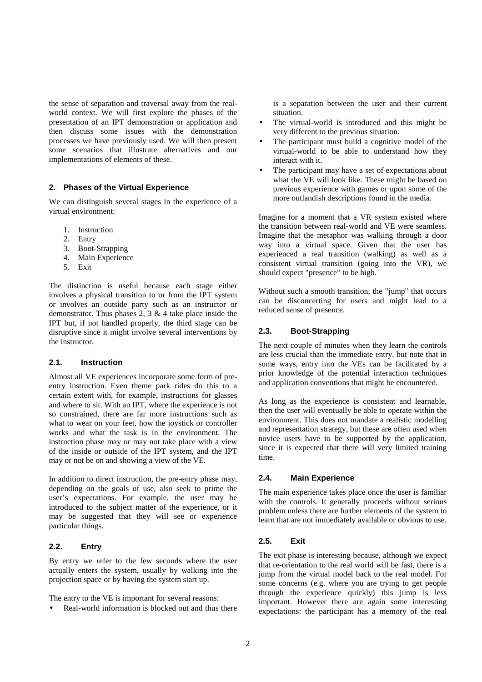the sense of separation and traversal away from the realworld context. We will first explore the phases of the presentation of an IPT demonstration or application and then discuss some issues with the demonstration processes we have previously used. We will then present some scenarios that illustrate alternatives and our implementations of elements of these.

### **2. Phases of the Virtual Experience**

We can distinguish several stages in the experience of a virtual environment:

- 1. Instruction
- 2. Entry
- 3. Boot-Strapping
- 4. Main Experience
- 5. Exit

The distinction is useful because each stage either involves a physical transition to or from the IPT system or involves an outside party such as an instructor or demonstrator. Thus phases 2, 3 & 4 take place inside the IPT but, if not handled properly, the third stage can be disruptive since it might involve several interventions by the instructor.

### **2.1. Instruction**

Almost all VE experiences incorporate some form of preentry instruction. Even theme park rides do this to a certain extent with, for example, instructions for glasses and where to sit. With an IPT, where the experience is not so constrained, there are far more instructions such as what to wear on your feet, how the joystick or controller works and what the task is in the environment. The instruction phase may or may not take place with a view of the inside or outside of the IPT system, and the IPT may or not be on and showing a view of the VE.

In addition to direct instruction, the pre-entry phase may, depending on the goals of use, also seek to prime the user's expectations. For example, the user may be introduced to the subject matter of the experience, or it may be suggested that they will see or experience particular things.

### **2.2. Entry**

By entry we refer to the few seconds where the user actually enters the system, usually by walking into the projection space or by having the system start up.

The entry to the VE is important for several reasons:

• Real-world information is blocked out and thus there

is a separation between the user and their current situation.

- The virtual-world is introduced and this might be very different to the previous situation.
- The participant must build a cognitive model of the virtual-world to be able to understand how they interact with it.
- The participant may have a set of expectations about what the VE will look like. These might be based on previous experience with games or upon some of the more outlandish descriptions found in the media.

Imagine for a moment that a VR system existed where the transition between real-world and VE were seamless. Imagine that the metaphor was walking through a door way into a virtual space. Given that the user has experienced a real transition (walking) as well as a consistent virtual transition (going into the VR), we should expect "presence" to be high.

Without such a smooth transition, the "jump" that occurs can be disconcerting for users and might lead to a reduced sense of presence.

### **2.3. Boot-Strapping**

The next couple of minutes when they learn the controls are less crucial than the immediate entry, but note that in some ways, entry into the VEs can be facilitated by a prior knowledge of the potential interaction techniques and application conventions that might be encountered.

As long as the experience is consistent and learnable, then the user will eventually be able to operate within the environment. This does not mandate a realistic modelling and representation strategy, but these are often used when novice users have to be supported by the application, since it is expected that there will very limited training time.

### **2.4. Main Experience**

The main experience takes place once the user is familiar with the controls. It generally proceeds without serious problem unless there are further elements of the system to learn that are not immediately available or obvious to use.

### **2.5. Exit**

The exit phase is interesting because, although we expect that re-orientation to the real world will be fast, there is a jump from the virtual model back to the real model. For some concerns (e.g. where you are trying to get people through the experience quickly) this jump is less important. However there are again some interesting expectations: the participant has a memory of the real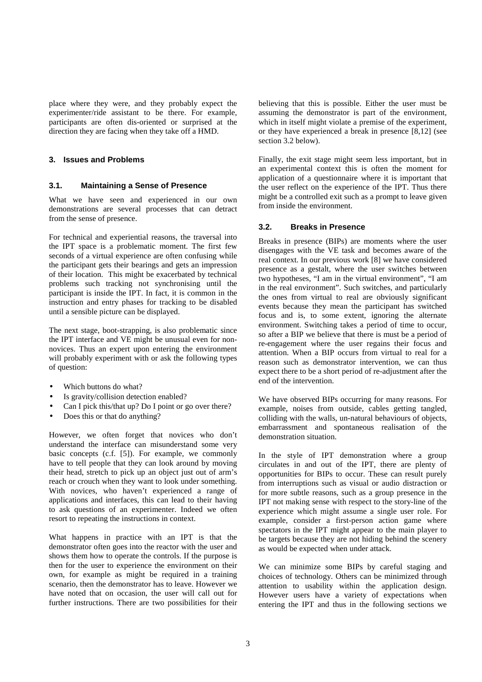place where they were, and they probably expect the experimenter/ride assistant to be there. For example, participants are often dis-oriented or surprised at the direction they are facing when they take off a HMD.

### **3. Issues and Problems**

### **3.1. Maintaining a Sense of Presence**

What we have seen and experienced in our own demonstrations are several processes that can detract from the sense of presence.

For technical and experiential reasons, the traversal into the IPT space is a problematic moment. The first few seconds of a virtual experience are often confusing while the participant gets their bearings and gets an impression of their location. This might be exacerbated by technical problems such tracking not synchronising until the participant is inside the IPT. In fact, it is common in the instruction and entry phases for tracking to be disabled until a sensible picture can be displayed.

The next stage, boot-strapping, is also problematic since the IPT interface and VE might be unusual even for nonnovices. Thus an expert upon entering the environment will probably experiment with or ask the following types of question:

- Which buttons do what?
- Is gravity/collision detection enabled?
- Can I pick this/that up? Do I point or go over there?
- Does this or that do anything?

However, we often forget that novices who don't understand the interface can misunderstand some very basic concepts (c.f. [5]). For example, we commonly have to tell people that they can look around by moving their head, stretch to pick up an object just out of arm's reach or crouch when they want to look under something. With novices, who haven't experienced a range of applications and interfaces, this can lead to their having to ask questions of an experimenter. Indeed we often resort to repeating the instructions in context.

What happens in practice with an IPT is that the demonstrator often goes into the reactor with the user and shows them how to operate the controls. If the purpose is then for the user to experience the environment on their own, for example as might be required in a training scenario, then the demonstrator has to leave. However we have noted that on occasion, the user will call out for further instructions. There are two possibilities for their

believing that this is possible. Either the user must be assuming the demonstrator is part of the environment, which in itself might violate a premise of the experiment, or they have experienced a break in presence [8,12] (see section 3.2 below).

Finally, the exit stage might seem less important, but in an experimental context this is often the moment for application of a questionnaire where it is important that the user reflect on the experience of the IPT. Thus there might be a controlled exit such as a prompt to leave given from inside the environment.

# **3.2. Breaks in Presence**

Breaks in presence (BIPs) are moments where the user disengages with the VE task and becomes aware of the real context. In our previous work [8] we have considered presence as a gestalt, where the user switches between two hypotheses, "I am in the virtual environment", "I am in the real environment". Such switches, and particularly the ones from virtual to real are obviously significant events because they mean the participant has switched focus and is, to some extent, ignoring the alternate environment. Switching takes a period of time to occur, so after a BIP we believe that there is must be a period of re-engagement where the user regains their focus and attention. When a BIP occurs from virtual to real for a reason such as demonstrator intervention, we can thus expect there to be a short period of re-adjustment after the end of the intervention.

We have observed BIPs occurring for many reasons. For example, noises from outside, cables getting tangled, colliding with the walls, un-natural behaviours of objects, embarrassment and spontaneous realisation of the demonstration situation.

In the style of IPT demonstration where a group circulates in and out of the IPT, there are plenty of opportunities for BIPs to occur. These can result purely from interruptions such as visual or audio distraction or for more subtle reasons, such as a group presence in the IPT not making sense with respect to the story-line of the experience which might assume a single user role. For example, consider a first-person action game where spectators in the IPT might appear to the main player to be targets because they are not hiding behind the scenery as would be expected when under attack.

We can minimize some BIPs by careful staging and choices of technology. Others can be minimized through attention to usability within the application design. However users have a variety of expectations when entering the IPT and thus in the following sections we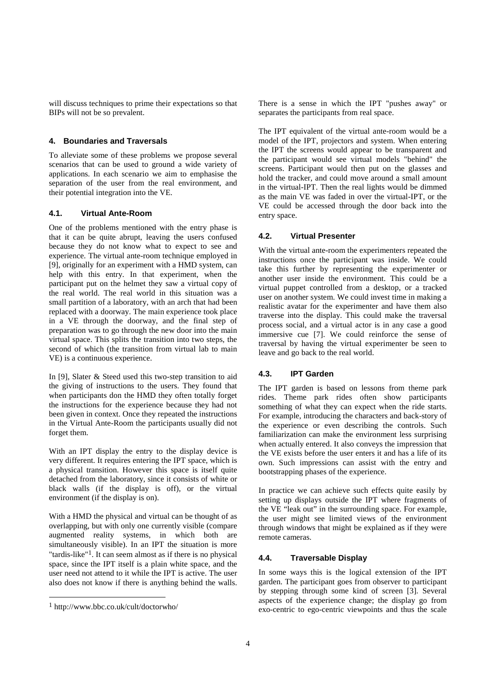will discuss techniques to prime their expectations so that BIPs will not be so prevalent.

# **4. Boundaries and Traversals**

To alleviate some of these problems we propose several scenarios that can be used to ground a wide variety of applications. In each scenario we aim to emphasise the separation of the user from the real environment, and their potential integration into the VE.

# **4.1. Virtual Ante-Room**

One of the problems mentioned with the entry phase is that it can be quite abrupt, leaving the users confused because they do not know what to expect to see and experience. The virtual ante-room technique employed in [9], originally for an experiment with a HMD system, can help with this entry. In that experiment, when the participant put on the helmet they saw a virtual copy of the real world. The real world in this situation was a small partition of a laboratory, with an arch that had been replaced with a doorway. The main experience took place in a VE through the doorway, and the final step of preparation was to go through the new door into the main virtual space. This splits the transition into two steps, the second of which (the transition from virtual lab to main VE) is a continuous experience.

In [9], Slater & Steed used this two-step transition to aid the giving of instructions to the users. They found that when participants don the HMD they often totally forget the instructions for the experience because they had not been given in context. Once they repeated the instructions in the Virtual Ante-Room the participants usually did not forget them.

With an IPT display the entry to the display device is very different. It requires entering the IPT space, which is a physical transition. However this space is itself quite detached from the laboratory, since it consists of white or black walls (if the display is off), or the virtual environment (if the display is on).

With a HMD the physical and virtual can be thought of as overlapping, but with only one currently visible (compare augmented reality systems, in which both are simultaneously visible). In an IPT the situation is more "tardis-like"<sup>1</sup>. It can seem almost as if there is no physical space, since the IPT itself is a plain white space, and the user need not attend to it while the IPT is active. The user also does not know if there is anything behind the walls. There is a sense in which the IPT "pushes away" or separates the participants from real space.

The IPT equivalent of the virtual ante-room would be a model of the IPT, projectors and system. When entering the IPT the screens would appear to be transparent and the participant would see virtual models "behind" the screens. Participant would then put on the glasses and hold the tracker, and could move around a small amount in the virtual-IPT. Then the real lights would be dimmed as the main VE was faded in over the virtual-IPT, or the VE could be accessed through the door back into the entry space.

# **4.2. Virtual Presenter**

With the virtual ante-room the experimenters repeated the instructions once the participant was inside. We could take this further by representing the experimenter or another user inside the environment. This could be a virtual puppet controlled from a desktop, or a tracked user on another system. We could invest time in making a realistic avatar for the experimenter and have them also traverse into the display. This could make the traversal process social, and a virtual actor is in any case a good immersive cue [7]. We could reinforce the sense of traversal by having the virtual experimenter be seen to leave and go back to the real world.

# **4.3. IPT Garden**

The IPT garden is based on lessons from theme park rides. Theme park rides often show participants something of what they can expect when the ride starts. For example, introducing the characters and back-story of the experience or even describing the controls. Such familiarization can make the environment less surprising when actually entered. It also conveys the impression that the VE exists before the user enters it and has a life of its own. Such impressions can assist with the entry and bootstrapping phases of the experience.

In practice we can achieve such effects quite easily by setting up displays outside the IPT where fragments of the VE "leak out" in the surrounding space. For example, the user might see limited views of the environment through windows that might be explained as if they were remote cameras.

# **4.4. Traversable Display**

In some ways this is the logical extension of the IPT garden. The participant goes from observer to participant by stepping through some kind of screen [3]. Several aspects of the experience change; the display go from exo-centric to ego-centric viewpoints and thus the scale

<sup>1</sup> http://www.bbc.co.uk/cult/doctorwho/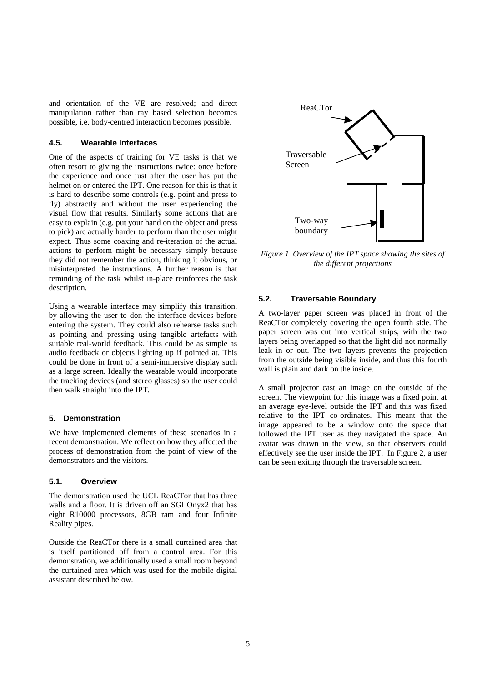and orientation of the VE are resolved; and direct manipulation rather than ray based selection becomes possible, i.e. body-centred interaction becomes possible.

#### **4.5. Wearable Interfaces**

One of the aspects of training for VE tasks is that we often resort to giving the instructions twice: once before the experience and once just after the user has put the helmet on or entered the IPT. One reason for this is that it is hard to describe some controls (e.g. point and press to fly) abstractly and without the user experiencing the visual flow that results. Similarly some actions that are easy to explain (e.g. put your hand on the object and press to pick) are actually harder to perform than the user might expect. Thus some coaxing and re-iteration of the actual actions to perform might be necessary simply because they did not remember the action, thinking it obvious, or misinterpreted the instructions. A further reason is that reminding of the task whilst in-place reinforces the task description.

Using a wearable interface may simplify this transition, by allowing the user to don the interface devices before entering the system. They could also rehearse tasks such as pointing and pressing using tangible artefacts with suitable real-world feedback. This could be as simple as audio feedback or objects lighting up if pointed at. This could be done in front of a semi-immersive display such as a large screen. Ideally the wearable would incorporate the tracking devices (and stereo glasses) so the user could then walk straight into the IPT.

# **5. Demonstration**

We have implemented elements of these scenarios in a recent demonstration. We reflect on how they affected the process of demonstration from the point of view of the demonstrators and the visitors.

# **5.1. Overview**

The demonstration used the UCL ReaCTor that has three walls and a floor. It is driven off an SGI Onyx2 that has eight R10000 processors, 8GB ram and four Infinite Reality pipes.

Outside the ReaCTor there is a small curtained area that is itself partitioned off from a control area. For this demonstration, we additionally used a small room beyond the curtained area which was used for the mobile digital assistant described below.



*Figure 1 Overview of the IPT space showing the sites of the different projections*

# **5.2. Traversable Boundary**

A two-layer paper screen was placed in front of the ReaCTor completely covering the open fourth side. The paper screen was cut into vertical strips, with the two layers being overlapped so that the light did not normally leak in or out. The two layers prevents the projection from the outside being visible inside, and thus this fourth wall is plain and dark on the inside.

A small projector cast an image on the outside of the screen. The viewpoint for this image was a fixed point at an average eye-level outside the IPT and this was fixed relative to the IPT co-ordinates. This meant that the image appeared to be a window onto the space that followed the IPT user as they navigated the space. An avatar was drawn in the view, so that observers could effectively see the user inside the IPT. In Figure 2, a user can be seen exiting through the traversable screen.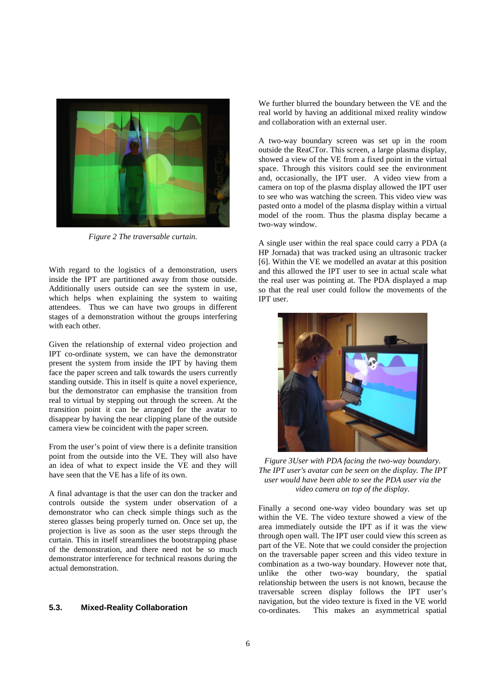

*Figure 2 The traversable curtain.*

With regard to the logistics of a demonstration, users inside the IPT are partitioned away from those outside. Additionally users outside can see the system in use, which helps when explaining the system to waiting attendees. Thus we can have two groups in different stages of a demonstration without the groups interfering with each other.

Given the relationship of external video projection and IPT co-ordinate system, we can have the demonstrator present the system from inside the IPT by having them face the paper screen and talk towards the users currently standing outside. This in itself is quite a novel experience, but the demonstrator can emphasise the transition from real to virtual by stepping out through the screen. At the transition point it can be arranged for the avatar to disappear by having the near clipping plane of the outside camera view be coincident with the paper screen.

From the user's point of view there is a definite transition point from the outside into the VE. They will also have an idea of what to expect inside the VE and they will have seen that the VE has a life of its own.

A final advantage is that the user can don the tracker and controls outside the system under observation of a demonstrator who can check simple things such as the stereo glasses being properly turned on. Once set up, the projection is live as soon as the user steps through the curtain. This in itself streamlines the bootstrapping phase of the demonstration, and there need not be so much demonstrator interference for technical reasons during the actual demonstration.

# **5.3. Mixed-Reality Collaboration**

We further blurred the boundary between the VE and the real world by having an additional mixed reality window and collaboration with an external user.

A two-way boundary screen was set up in the room outside the ReaCTor. This screen, a large plasma display, showed a view of the VE from a fixed point in the virtual space. Through this visitors could see the environment and, occasionally, the IPT user. A video view from a camera on top of the plasma display allowed the IPT user to see who was watching the screen. This video view was pasted onto a model of the plasma display within a virtual model of the room. Thus the plasma display became a two-way window.

A single user within the real space could carry a PDA (a HP Jornada) that was tracked using an ultrasonic tracker [6]. Within the VE we modelled an avatar at this position and this allowed the IPT user to see in actual scale what the real user was pointing at. The PDA displayed a map so that the real user could follow the movements of the IPT user.



*Figure 3User with PDA facing the two-way boundary. The IPT user's avatar can be seen on the display. The IPT user would have been able to see the PDA user via the video camera on top of the display.*

Finally a second one-way video boundary was set up within the VE. The video texture showed a view of the area immediately outside the IPT as if it was the view through open wall. The IPT user could view this screen as part of the VE. Note that we could consider the projection on the traversable paper screen and this video texture in combination as a two-way boundary. However note that, unlike the other two-way boundary, the spatial relationship between the users is not known, because the traversable screen display follows the IPT user's navigation, but the video texture is fixed in the VE world co-ordinates. This makes an asymmetrical spatial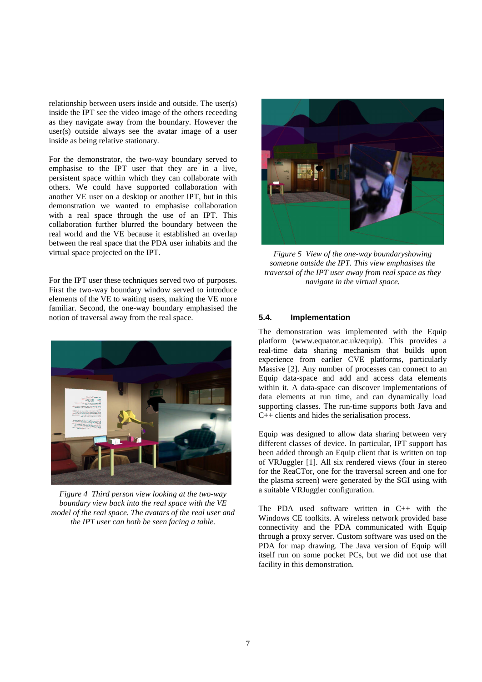relationship between users inside and outside. The user(s) inside the IPT see the video image of the others receeding as they navigate away from the boundary. However the user(s) outside always see the avatar image of a user inside as being relative stationary.

For the demonstrator, the two-way boundary served to emphasise to the IPT user that they are in a live, persistent space within which they can collaborate with others. We could have supported collaboration with another VE user on a desktop or another IPT, but in this demonstration we wanted to emphasise collaboration with a real space through the use of an IPT. This collaboration further blurred the boundary between the real world and the VE because it established an overlap between the real space that the PDA user inhabits and the virtual space projected on the IPT.

For the IPT user these techniques served two of purposes. First the two-way boundary window served to introduce elements of the VE to waiting users, making the VE more familiar. Second, the one-way boundary emphasised the notion of traversal away from the real space.



*Figure 4 Third person view looking at the two-way boundary view back into the real space with the VE model of the real space. The avatars of the real user and the IPT user can both be seen facing a table.*



*Figure 5 View of the one-way boundaryshowing someone outside the IPT. This view emphasises the traversal of the IPT user away from real space as they navigate in the virtual space.*

# **5.4. Implementation**

The demonstration was implemented with the Equip platform (www.equator.ac.uk/equip). This provides a real-time data sharing mechanism that builds upon experience from earlier CVE platforms, particularly Massive [2]. Any number of processes can connect to an Equip data-space and add and access data elements within it. A data-space can discover implementations of data elements at run time, and can dynamically load supporting classes. The run-time supports both Java and C++ clients and hides the serialisation process.

Equip was designed to allow data sharing between very different classes of device. In particular, IPT support has been added through an Equip client that is written on top of VRJuggler [1]. All six rendered views (four in stereo for the ReaCTor, one for the traversal screen and one for the plasma screen) were generated by the SGI using with a suitable VRJuggler configuration.

The PDA used software written in C++ with the Windows CE toolkits. A wireless network provided base connectivity and the PDA communicated with Equip through a proxy server. Custom software was used on the PDA for map drawing. The Java version of Equip will itself run on some pocket PCs, but we did not use that facility in this demonstration.